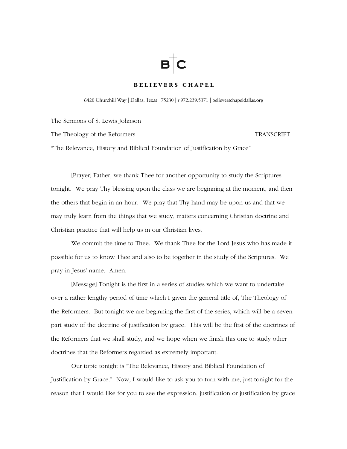# $B$   $C$

# BELIEVERS CHAPEL

6420 Churchill Way | Dallas, Texas | 75230 | t 972.239.5371 | believerschapeldallas.org

The Sermons of S. Lewis Johnson

The Theology of the Reformers TRANSCRIPT

"The Relevance, History and Biblical Foundation of Justification by Grace"

 [Prayer] Father, we thank Thee for another opportunity to study the Scriptures tonight. We pray Thy blessing upon the class we are beginning at the moment, and then the others that begin in an hour. We pray that Thy hand may be upon us and that we may truly learn from the things that we study, matters concerning Christian doctrine and Christian practice that will help us in our Christian lives.

 We commit the time to Thee. We thank Thee for the Lord Jesus who has made it possible for us to know Thee and also to be together in the study of the Scriptures. We pray in Jesus' name. Amen.

 [Message] Tonight is the first in a series of studies which we want to undertake over a rather lengthy period of time which I given the general title of, The Theology of the Reformers. But tonight we are beginning the first of the series, which will be a seven part study of the doctrine of justification by grace. This will be the first of the doctrines of the Reformers that we shall study, and we hope when we finish this one to study other doctrines that the Reformers regarded as extremely important.

 Our topic tonight is "The Relevance, History and Biblical Foundation of Justification by Grace." Now, I would like to ask you to turn with me, just tonight for the reason that I would like for you to see the expression, justification or justification by grace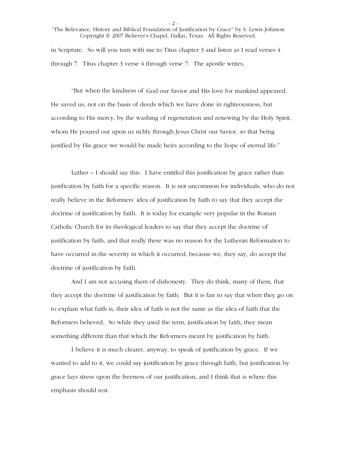- 2 -

"The Relevance, History and Biblical Foundation of Justification by Grace" by S. Lewis Johnson Copyright © 2007 Believer's Chapel, Dallas, Texas. All Rights Reserved.

in Scripture. So will you turn with me to Titus chapter 3 and listen as I read verses 4 through 7. Titus chapter 3 verse 4 through verse 7. The apostle writes,

 "But when the kindness of God our Savior and His love for mankind appeared, He saved us, not on the basis of deeds which we have done in righteousness, but according to His mercy, by the washing of regeneration and renewing by the Holy Spirit, whom He poured out upon us richly through Jesus Christ our Savior, so that being justified by His grace we would be made heirs according to the hope of eternal life."

 Luther – I should say this. I have entitled this justification by grace rather than justification by faith for a specific reason. It is not uncommon for individuals, who do not really believe in the Reformers' idea of justification by faith to say that they accept the doctrine of justification by faith. It is today for example very popular in the Roman Catholic Church for its theological leaders to say that they accept the doctrine of justification by faith, and that really there was no reason for the Lutheran Reformation to have occurred in the severity in which it occurred, because we, they say, do accept the doctrine of justification by faith.

 And I am not accusing them of dishonesty. They do think, many of them, that they accept the doctrine of justification by faith. But it is fair to say that when they go on to explain what faith is, their idea of faith is not the same as the idea of faith that the Reformers believed. So while they used the term, justification by faith, they mean something different than that which the Reformers meant by justification by faith.

 I believe it is much clearer, anyway, to speak of justification by grace. If we wanted to add to it, we could say justification by grace through faith, but justification by grace lays stress upon the freeness of our justification, and I think that is where this emphasis should rest.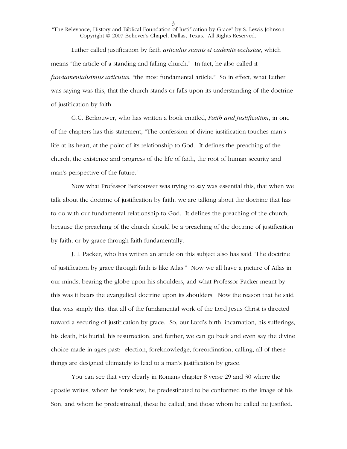- 3 -

"The Relevance, History and Biblical Foundation of Justification by Grace" by S. Lewis Johnson Copyright © 2007 Believer's Chapel, Dallas, Texas. All Rights Reserved.

 Luther called justification by faith *articulus stantis et cadentis ecclesiae*, which means "the article of a standing and falling church." In fact, he also called it *fundamentalisimus articulus*, "the most fundamental article." So in effect, what Luther was saying was this, that the church stands or falls upon its understanding of the doctrine of justification by faith.

 G.C. Berkouwer, who has written a book entitled, *Faith and Justification*, in one of the chapters has this statement, "The confession of divine justification touches man's life at its heart, at the point of its relationship to God. It defines the preaching of the church, the existence and progress of the life of faith, the root of human security and man's perspective of the future."

 Now what Professor Berkouwer was trying to say was essential this, that when we talk about the doctrine of justification by faith, we are talking about the doctrine that has to do with our fundamental relationship to God. It defines the preaching of the church, because the preaching of the church should be a preaching of the doctrine of justification by faith, or by grace through faith fundamentally.

 J. I. Packer, who has written an article on this subject also has said "The doctrine of justification by grace through faith is like Atlas." Now we all have a picture of Atlas in our minds, bearing the globe upon his shoulders, and what Professor Packer meant by this was it bears the evangelical doctrine upon its shoulders. Now the reason that he said that was simply this, that all of the fundamental work of the Lord Jesus Christ is directed toward a securing of justification by grace. So, our Lord's birth, incarnation, his sufferings, his death, his burial, his resurrection, and further, we can go back and even say the divine choice made in ages past: election, foreknowledge, foreordination, calling, all of these things are designed ultimately to lead to a man's justification by grace.

 You can see that very clearly in Romans chapter 8 verse 29 and 30 where the apostle writes, whom he foreknew, he predestinated to be conformed to the image of his Son, and whom he predestinated, these he called, and those whom he called he justified.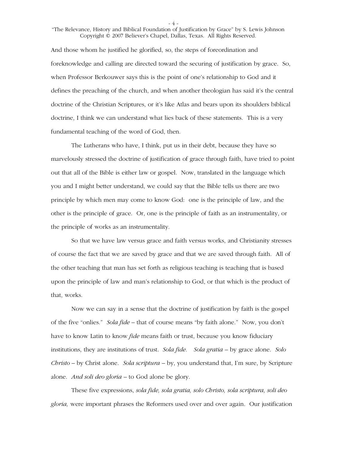- 4 -

## "The Relevance, History and Biblical Foundation of Justification by Grace" by S. Lewis Johnson Copyright © 2007 Believer's Chapel, Dallas, Texas. All Rights Reserved.

And those whom he justified he glorified, so, the steps of foreordination and foreknowledge and calling are directed toward the securing of justification by grace. So, when Professor Berkouwer says this is the point of one's relationship to God and it defines the preaching of the church, and when another theologian has said it's the central doctrine of the Christian Scriptures, or it's like Atlas and bears upon its shoulders biblical doctrine, I think we can understand what lies back of these statements. This is a very fundamental teaching of the word of God, then.

 The Lutherans who have, I think, put us in their debt, because they have so marvelously stressed the doctrine of justification of grace through faith, have tried to point out that all of the Bible is either law or gospel. Now, translated in the language which you and I might better understand, we could say that the Bible tells us there are two principle by which men may come to know God: one is the principle of law, and the other is the principle of grace. Or, one is the principle of faith as an instrumentality, or the principle of works as an instrumentality.

 So that we have law versus grace and faith versus works, and Christianity stresses of course the fact that we are saved by grace and that we are saved through faith. All of the other teaching that man has set forth as religious teaching is teaching that is based upon the principle of law and man's relationship to God, or that which is the product of that, works.

 Now we can say in a sense that the doctrine of justification by faith is the gospel of the five "onlies." *Sola fide* – that of course means "by faith alone." Now, you don't have to know Latin to know *fide* means faith or trust, because you know fiduciary institutions, they are institutions of trust. *Sola fide. Sola gratia* – by grace alone. *Solo Christo* – by Christ alone. *Sola scriptura* – by, you understand that, I'm sure, by Scripture alone. *And soli deo gloria* – to God alone be glory.

 These five expressions, *sola fide, sola gratia, solo Christo, sola scriptura, soli deo gloria,* were important phrases the Reformers used over and over again. Our justification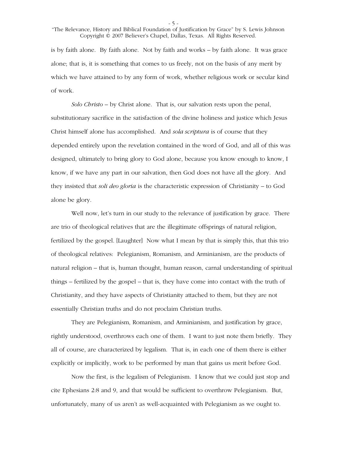- 5 -

"The Relevance, History and Biblical Foundation of Justification by Grace" by S. Lewis Johnson Copyright © 2007 Believer's Chapel, Dallas, Texas. All Rights Reserved.

is by faith alone. By faith alone. Not by faith and works – by faith alone. It was grace alone; that is, it is something that comes to us freely, not on the basis of any merit by which we have attained to by any form of work, whether religious work or secular kind of work.

*Solo Christo* – by Christ alone. That is, our salvation rests upon the penal, substitutionary sacrifice in the satisfaction of the divine holiness and justice which Jesus Christ himself alone has accomplished. And *sola scriptura* is of course that they depended entirely upon the revelation contained in the word of God, and all of this was designed, ultimately to bring glory to God alone, because you know enough to know, I know, if we have any part in our salvation, then God does not have all the glory. And they insisted that *soli deo gloria* is the characteristic expression of Christianity – to God alone be glory.

 Well now, let's turn in our study to the relevance of justification by grace. There are trio of theological relatives that are the illegitimate offsprings of natural religion, fertilized by the gospel. [Laughter] Now what I mean by that is simply this, that this trio of theological relatives: Pelegianism, Romanism, and Arminianism, are the products of natural religion – that is, human thought, human reason, carnal understanding of spiritual things – fertilized by the gospel – that is, they have come into contact with the truth of Christianity, and they have aspects of Christianity attached to them, but they are not essentially Christian truths and do not proclaim Christian truths.

 They are Pelegianism, Romanism, and Arminianism, and justification by grace, rightly understood, overthrows each one of them. I want to just note them briefly. They all of course, are characterized by legalism. That is, in each one of them there is either explicitly or implicitly, work to be performed by man that gains us merit before God.

 Now the first, is the legalism of Pelegianism. I know that we could just stop and cite Ephesians 2:8 and 9, and that would be sufficient to overthrow Pelegianism. But, unfortunately, many of us aren't as well-acquainted with Pelegianism as we ought to.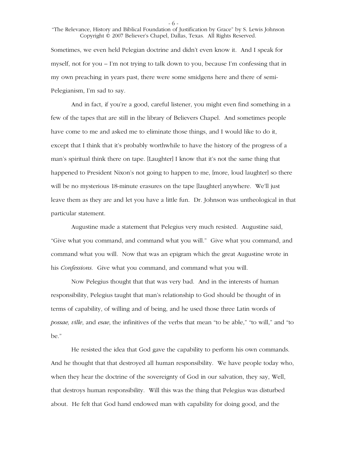- 6 -

"The Relevance, History and Biblical Foundation of Justification by Grace" by S. Lewis Johnson Copyright © 2007 Believer's Chapel, Dallas, Texas. All Rights Reserved.

Sometimes, we even held Pelegian doctrine and didn't even know it. And I speak for myself, not for you – I'm not trying to talk down to you, because I'm confessing that in my own preaching in years past, there were some smidgens here and there of semi-Pelegianism, I'm sad to say.

 And in fact, if you're a good, careful listener, you might even find something in a few of the tapes that are still in the library of Believers Chapel. And sometimes people have come to me and asked me to eliminate those things, and I would like to do it, except that I think that it's probably worthwhile to have the history of the progress of a man's spiritual think there on tape. [Laughter] I know that it's not the same thing that happened to President Nixon's not going to happen to me, [more, loud laughter] so there will be no mysterious 18-minute erasures on the tape [laughter] anywhere. We'll just leave them as they are and let you have a little fun. Dr. Johnson was untheological in that particular statement.

 Augustine made a statement that Pelegius very much resisted. Augustine said, "Give what you command, and command what you will." Give what you command, and command what you will. Now that was an epigram which the great Augustine wrote in his *Confessions*. Give what you command, and command what you will.

 Now Pelegius thought that that was very bad. And in the interests of human responsibility, Pelegius taught that man's relationship to God should be thought of in terms of capability, of willing and of being, and he used those three Latin words of *possae, ville*, and *esae*, the infinitives of the verbs that mean "to be able," "to will," and "to be."

 He resisted the idea that God gave the capability to perform his own commands. And he thought that that destroyed all human responsibility. We have people today who, when they hear the doctrine of the sovereignty of God in our salvation, they say, Well, that destroys human responsibility. Will this was the thing that Pelegius was disturbed about. He felt that God hand endowed man with capability for doing good, and the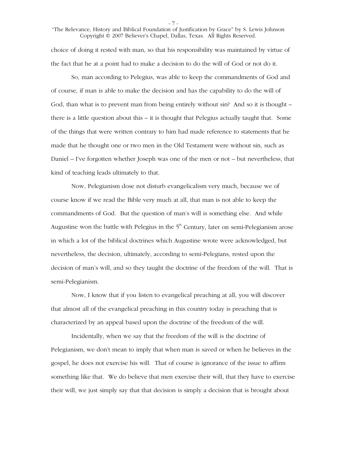- 7 -

"The Relevance, History and Biblical Foundation of Justification by Grace" by S. Lewis Johnson Copyright © 2007 Believer's Chapel, Dallas, Texas. All Rights Reserved.

choice of doing it rested with man, so that his responsibility was maintained by virtue of the fact that he at a point had to make a decision to do the will of God or not do it.

 So, man according to Pelegius, was able to keep the commandments of God and of course, if man is able to make the decision and has the capability to do the will of God, than what is to prevent man from being entirely without sin? And so it is thought – there is a little question about this – it is thought that Pelegius actually taught that. Some of the things that were written contrary to him had made reference to statements that he made that he thought one or two men in the Old Testament were without sin, such as Daniel – I've forgotten whether Joseph was one of the men or not – but nevertheless, that kind of teaching leads ultimately to that.

 Now, Pelegianism dose not disturb evangelicalism very much, because we of course know if we read the Bible very much at all, that man is not able to keep the commandments of God. But the question of man's will is something else. And while Augustine won the battle with Pelegius in the  $5<sup>th</sup>$  Century, later on semi-Pelegianism arose in which a lot of the biblical doctrines which Augustine wrote were acknowledged, but nevertheless, the decision, ultimately, according to semi-Pelegians, rested upon the decision of man's will, and so they taught the doctrine of the freedom of the will. That is semi-Pelegianism.

 Now, I know that if you listen to evangelical preaching at all, you will discover that almost all of the evangelical preaching in this country today is preaching that is characterized by an appeal based upon the doctrine of the freedom of the will.

 Incidentally, when we say that the freedom of the will is the doctrine of Pelegianism, we don't mean to imply that when man is saved or when he believes in the gospel, he does not exercise his will. That of course is ignorance of the issue to affirm something like that. We do believe that men exercise their will, that they have to exercise their will, we just simply say that that decision is simply a decision that is brought about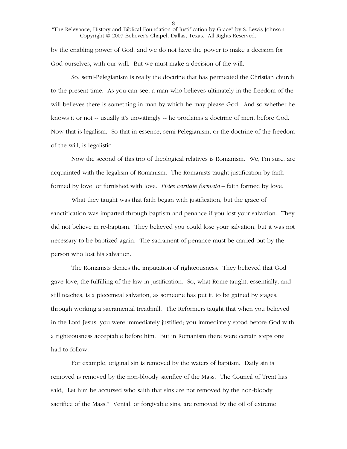- 8 -

"The Relevance, History and Biblical Foundation of Justification by Grace" by S. Lewis Johnson Copyright © 2007 Believer's Chapel, Dallas, Texas. All Rights Reserved.

by the enabling power of God, and we do not have the power to make a decision for God ourselves, with our will. But we must make a decision of the will.

 So, semi-Pelegianism is really the doctrine that has permeated the Christian church to the present time. As you can see, a man who believes ultimately in the freedom of the will believes there is something in man by which he may please God. And so whether he knows it or not -- usually it's unwittingly -- he proclaims a doctrine of merit before God. Now that is legalism. So that in essence, semi-Pelegianism, or the doctrine of the freedom of the will, is legalistic.

 Now the second of this trio of theological relatives is Romanism. We, I'm sure, are acquainted with the legalism of Romanism. The Romanists taught justification by faith formed by love, or furnished with love. *Fides caritate formata –* faith formed by love.

 What they taught was that faith began with justification, but the grace of sanctification was imparted through baptism and penance if you lost your salvation. They did not believe in re-baptism. They believed you could lose your salvation, but it was not necessary to be baptized again. The sacrament of penance must be carried out by the person who lost his salvation.

 The Romanists denies the imputation of righteousness. They believed that God gave love, the fulfilling of the law in justification. So, what Rome taught, essentially, and still teaches, is a piecemeal salvation, as someone has put it, to be gained by stages, through working a sacramental treadmill. The Reformers taught that when you believed in the Lord Jesus, you were immediately justified; you immediately stood before God with a righteousness acceptable before him. But in Romanism there were certain steps one had to follow.

 For example, original sin is removed by the waters of baptism. Daily sin is removed is removed by the non-bloody sacrifice of the Mass. The Council of Trent has said, "Let him be accursed who saith that sins are not removed by the non-bloody sacrifice of the Mass." Venial, or forgivable sins, are removed by the oil of extreme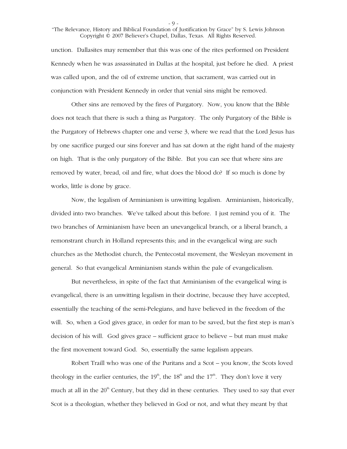- 9 -

## "The Relevance, History and Biblical Foundation of Justification by Grace" by S. Lewis Johnson Copyright © 2007 Believer's Chapel, Dallas, Texas. All Rights Reserved.

unction. Dallasites may remember that this was one of the rites performed on President Kennedy when he was assassinated in Dallas at the hospital, just before he died. A priest was called upon, and the oil of extreme unction, that sacrament, was carried out in conjunction with President Kennedy in order that venial sins might be removed.

 Other sins are removed by the fires of Purgatory. Now, you know that the Bible does not teach that there is such a thing as Purgatory. The only Purgatory of the Bible is the Purgatory of Hebrews chapter one and verse 3, where we read that the Lord Jesus has by one sacrifice purged our sins forever and has sat down at the right hand of the majesty on high. That is the only purgatory of the Bible. But you can see that where sins are removed by water, bread, oil and fire, what does the blood do? If so much is done by works, little is done by grace.

 Now, the legalism of Arminianism is unwitting legalism. Arminianism, historically, divided into two branches. We've talked about this before. I just remind you of it. The two branches of Arminianism have been an unevangelical branch, or a liberal branch, a remonstrant church in Holland represents this; and in the evangelical wing are such churches as the Methodist church, the Pentecostal movement, the Wesleyan movement in general. So that evangelical Arminianism stands within the pale of evangelicalism.

 But nevertheless, in spite of the fact that Arminianism of the evangelical wing is evangelical, there is an unwitting legalism in their doctrine, because they have accepted, essentially the teaching of the semi-Pelegians, and have believed in the freedom of the will. So, when a God gives grace, in order for man to be saved, but the first step is man's decision of his will. God gives grace – sufficient grace to believe – but man must make the first movement toward God. So, essentially the same legalism appears.

 Robert Traill who was one of the Puritans and a Scot – you know, the Scots loved theology in the earlier centuries, the  $19<sup>th</sup>$ , the  $18<sup>th</sup>$  and the  $17<sup>th</sup>$ . They don't love it very much at all in the  $20<sup>th</sup>$  Century, but they did in these centuries. They used to say that ever Scot is a theologian, whether they believed in God or not, and what they meant by that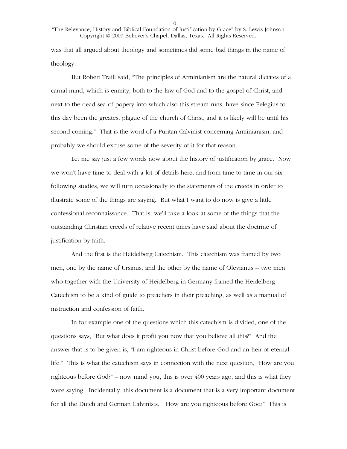- 10 -

"The Relevance, History and Biblical Foundation of Justification by Grace" by S. Lewis Johnson Copyright © 2007 Believer's Chapel, Dallas, Texas. All Rights Reserved.

was that all argued about theology and sometimes did some bad things in the name of theology.

 But Robert Traill said, "The principles of Arminianism are the natural dictates of a carnal mind, which is enmity, both to the law of God and to the gospel of Christ, and next to the dead sea of popery into which also this stream runs, have since Pelegius to this day been the greatest plague of the church of Christ, and it is likely will be until his second coming." That is the word of a Puritan Calvinist concerning Arminianism, and probably we should excuse some of the severity of it for that reason.

 Let me say just a few words now about the history of justification by grace. Now we won't have time to deal with a lot of details here, and from time to time in our six following studies, we will turn occasionally to the statements of the creeds in order to illustrate some of the things are saying. But what I want to do now is give a little confessional reconnaissance. That is, we'll take a look at some of the things that the outstanding Christian creeds of relative recent times have said about the doctrine of justification by faith.

 And the first is the Heidelberg Catechism. This catechism was framed by two men, one by the name of Ursinus, and the other by the name of Olevianus -- two men who together with the University of Heidelberg in Germany framed the Heidelberg Catechism to be a kind of guide to preachers in their preaching, as well as a manual of instruction and confession of faith.

 In for example one of the questions which this catechism is divided, one of the questions says, "But what does it profit you now that you believe all this?" And the answer that is to be given is, "I am righteous in Christ before God and an heir of eternal life." This is what the catechism says in connection with the next question, "How are you righteous before God?" – now mind you, this is over 400 years ago, and this is what they were saying. Incidentally, this document is a document that is a very important document for all the Dutch and German Calvinists. "How are you righteous before God?" This is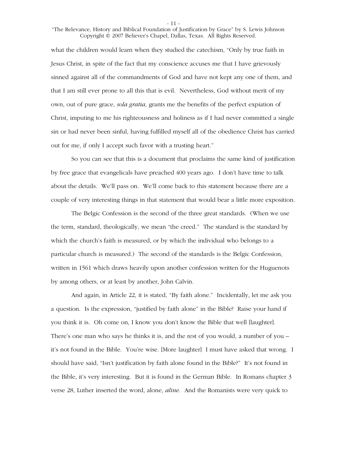- 11 -

## "The Relevance, History and Biblical Foundation of Justification by Grace" by S. Lewis Johnson Copyright © 2007 Believer's Chapel, Dallas, Texas. All Rights Reserved.

what the children would learn when they studied the catechism, "Only by true faith in Jesus Christ, in spite of the fact that my conscience accuses me that I have grievously sinned against all of the commandments of God and have not kept any one of them, and that I am still ever prone to all this that is evil. Nevertheless, God without merit of my own, out of pure grace, *sola gratia*, grants me the benefits of the perfect expiation of Christ, imputing to me his righteousness and holiness as if I had never committed a single sin or had never been sinful, having fulfilled myself all of the obedience Christ has carried out for me, if only I accept such favor with a trusting heart."

 So you can see that this is a document that proclaims the same kind of justification by free grace that evangelicals have preached 400 years ago. I don't have time to talk about the details. We'll pass on. We'll come back to this statement because there are a couple of very interesting things in that statement that would bear a little more exposition.

 The Belgic Confession is the second of the three great standards. (When we use the term, standard, theologically, we mean "the creed." The standard is the standard by which the church's faith is measured, or by which the individual who belongs to a particular church is measured.) The second of the standards is the Belgic Confession, written in 1561 which draws heavily upon another confession written for the Huguenots by among others, or at least by another, John Calvin.

 And again, in Article 22, it is stated, "By faith alone." Incidentally, let me ask you a question. Is the expression, "justified by faith alone" in the Bible? Raise your hand if you think it is. Oh come on, I know you don't know the Bible that well [laughter]. There's one man who says he thinks it is, and the rest of you would, a number of you – it's not found in the Bible. You're wise. [More laughter] I must have asked that wrong. I should have said, "Isn't justification by faith alone found in the Bible?" It's not found in the Bible, it's very interesting. But it is found in the German Bible. In Romans chapter 3 verse 28, Luther inserted the word, alone, *aline*. And the Romanists were very quick to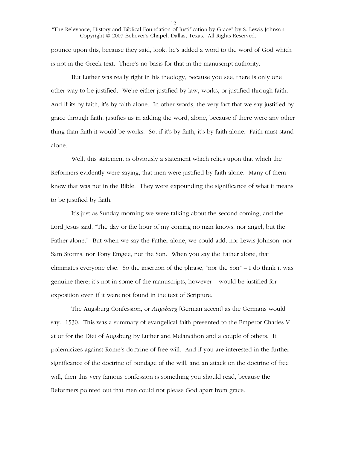- 12 -

"The Relevance, History and Biblical Foundation of Justification by Grace" by S. Lewis Johnson Copyright © 2007 Believer's Chapel, Dallas, Texas. All Rights Reserved.

pounce upon this, because they said, look, he's added a word to the word of God which is not in the Greek text. There's no basis for that in the manuscript authority.

 But Luther was really right in his theology, because you see, there is only one other way to be justified. We're either justified by law, works, or justified through faith. And if its by faith, it's by faith alone. In other words, the very fact that we say justified by grace through faith, justifies us in adding the word, alone, because if there were any other thing than faith it would be works. So, if it's by faith, it's by faith alone. Faith must stand alone.

 Well, this statement is obviously a statement which relies upon that which the Reformers evidently were saying, that men were justified by faith alone. Many of them knew that was not in the Bible. They were expounding the significance of what it means to be justified by faith.

 It's just as Sunday morning we were talking about the second coming, and the Lord Jesus said, "The day or the hour of my coming no man knows, nor angel, but the Father alone." But when we say the Father alone, we could add, nor Lewis Johnson, nor Sam Storms, nor Tony Emgee, nor the Son. When you say the Father alone, that eliminates everyone else. So the insertion of the phrase, "nor the Son" – I do think it was genuine there; it's not in some of the manuscripts, however – would be justified for exposition even if it were not found in the text of Scripture.

 The Augsburg Confession, or *Augsburg* [German accent] as the Germans would say. 1530. This was a summary of evangelical faith presented to the Emperor Charles V at or for the Diet of Augsburg by Luther and Melancthon and a couple of others. It polemicizes against Rome's doctrine of free will. And if you are interested in the further significance of the doctrine of bondage of the will, and an attack on the doctrine of free will, then this very famous confession is something you should read, because the Reformers pointed out that men could not please God apart from grace.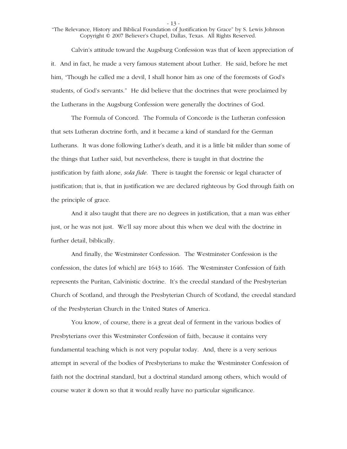- 13 -

"The Relevance, History and Biblical Foundation of Justification by Grace" by S. Lewis Johnson Copyright © 2007 Believer's Chapel, Dallas, Texas. All Rights Reserved.

 Calvin's attitude toward the Augsburg Confession was that of keen appreciation of it. And in fact, he made a very famous statement about Luther. He said, before he met him, "Though he called me a devil, I shall honor him as one of the foremosts of God's students, of God's servants." He did believe that the doctrines that were proclaimed by the Lutherans in the Augsburg Confession were generally the doctrines of God.

 The Formula of Concord. The Formula of Concorde is the Lutheran confession that sets Lutheran doctrine forth, and it became a kind of standard for the German Lutherans. It was done following Luther's death, and it is a little bit milder than some of the things that Luther said, but nevertheless, there is taught in that doctrine the justification by faith alone, *sola fide*. There is taught the forensic or legal character of justification; that is, that in justification we are declared righteous by God through faith on the principle of grace.

 And it also taught that there are no degrees in justification, that a man was either just, or he was not just. We'll say more about this when we deal with the doctrine in further detail, biblically.

 And finally, the Westminster Confession. The Westminster Confession is the confession, the dates [of which] are 1643 to 1646. The Westminster Confession of faith represents the Puritan, Calvinistic doctrine. It's the creedal standard of the Presbyterian Church of Scotland, and through the Presbyterian Church of Scotland, the creedal standard of the Presbyterian Church in the United States of America.

 You know, of course, there is a great deal of ferment in the various bodies of Presbyterians over this Westminster Confession of faith, because it contains very fundamental teaching which is not very popular today. And, there is a very serious attempt in several of the bodies of Presbyterians to make the Westminster Confession of faith not the doctrinal standard, but a doctrinal standard among others, which would of course water it down so that it would really have no particular significance.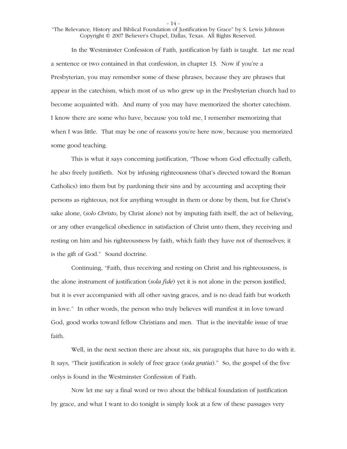- 14 -

"The Relevance, History and Biblical Foundation of Justification by Grace" by S. Lewis Johnson Copyright © 2007 Believer's Chapel, Dallas, Texas. All Rights Reserved.

 In the Westminster Confession of Faith, justification by faith is taught. Let me read a sentence or two contained in that confession, in chapter 13. Now if you're a Presbyterian, you may remember some of these phrases, because they are phrases that appear in the catechism, which most of us who grew up in the Presbyterian church had to become acquainted with. And many of you may have memorized the shorter catechism. I know there are some who have, because you told me, I remember memorizing that when I was little. That may be one of reasons you're here now, because you memorized some good teaching.

 This is what it says concerning justification, "Those whom God effectually calleth, he also freely justifieth. Not by infusing righteousness (that's directed toward the Roman Catholics) into them but by pardoning their sins and by accounting and accepting their persons as righteous, not for anything wrought in them or done by them, but for Christ's sake alone, (*solo Christo*, by Christ alone) not by imputing faith itself, the act of believing, or any other evangelical obedience in satisfaction of Christ unto them, they receiving and resting on him and his righteousness by faith, which faith they have not of themselves; it is the gift of God." Sound doctrine.

 Continuing, "Faith, thus receiving and resting on Christ and his righteousness, is the alone instrument of justification (*sola fide*) yet it is not alone in the person justified, but it is ever accompanied with all other saving graces, and is no dead faith but worketh in love." In other words, the person who truly believes will manifest it in love toward God, good works toward fellow Christians and men. That is the inevitable issue of true faith.

 Well, in the next section there are about six, six paragraphs that have to do with it. It says, "Their justification is solely of free grace (*sola gratia*)." So, the gospel of the five onlys is found in the Westminster Confession of Faith.

 Now let me say a final word or two about the biblical foundation of justification by grace, and what I want to do tonight is simply look at a few of these passages very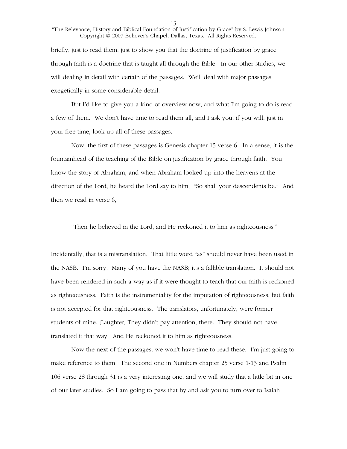- 15 -

"The Relevance, History and Biblical Foundation of Justification by Grace" by S. Lewis Johnson Copyright © 2007 Believer's Chapel, Dallas, Texas. All Rights Reserved.

briefly, just to read them, just to show you that the doctrine of justification by grace through faith is a doctrine that is taught all through the Bible. In our other studies, we will dealing in detail with certain of the passages. We'll deal with major passages exegetically in some considerable detail.

 But I'd like to give you a kind of overview now, and what I'm going to do is read a few of them. We don't have time to read them all, and I ask you, if you will, just in your free time, look up all of these passages.

 Now, the first of these passages is Genesis chapter 15 verse 6. In a sense, it is the fountainhead of the teaching of the Bible on justification by grace through faith. You know the story of Abraham, and when Abraham looked up into the heavens at the direction of the Lord, he heard the Lord say to him, "So shall your descendents be." And then we read in verse 6,

"Then he believed in the Lord, and He reckoned it to him as righteousness."

Incidentally, that is a mistranslation. That little word "as" should never have been used in the NASB. I'm sorry. Many of you have the NASB; it's a fallible translation. It should not have been rendered in such a way as if it were thought to teach that our faith is reckoned as righteousness. Faith is the instrumentality for the imputation of righteousness, but faith is not accepted for that righteousness. The translators, unfortunately, were former students of mine. [Laughter] They didn't pay attention, there. They should not have translated it that way. And He reckoned it to him as righteousness.

 Now the next of the passages, we won't have time to read these. I'm just going to make reference to them. The second one in Numbers chapter 25 verse 1-13 and Psalm 106 verse 28 through 31 is a very interesting one, and we will study that a little bit in one of our later studies. So I am going to pass that by and ask you to turn over to Isaiah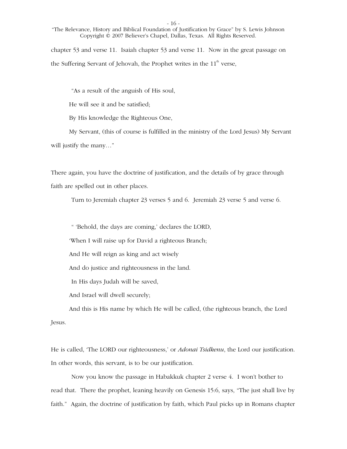- 16 -

"The Relevance, History and Biblical Foundation of Justification by Grace" by S. Lewis Johnson Copyright © 2007 Believer's Chapel, Dallas, Texas. All Rights Reserved.

chapter 53 and verse 11. Isaiah chapter 53 and verse 11. Now in the great passage on the Suffering Servant of Jehovah, the Prophet writes in the  $11<sup>th</sup>$  verse,

"As a result of the anguish of His soul,

He will see it and be satisfied;

By His knowledge the Righteous One,

 My Servant, (this of course is fulfilled in the ministry of the Lord Jesus) My Servant will justify the many..."

There again, you have the doctrine of justification, and the details of by grace through faith are spelled out in other places.

Turn to Jeremiah chapter 23 verses 5 and 6. Jeremiah 23 verse 5 and verse 6.

" 'Behold, the days are coming,' declares the LORD,

'When I will raise up for David a righteous Branch;

And He will reign as king and act wisely

And do justice and righteousness in the land.

In His days Judah will be saved,

And Israel will dwell securely;

 And this is His name by which He will be called, (the righteous branch, the Lord Jesus.

He is called, 'The LORD our righteousness,' or *Adonai Tsidkenu*, the Lord our justification. In other words, this servant, is to be our justification.

 Now you know the passage in Habakkuk chapter 2 verse 4. I won't bother to read that. There the prophet, leaning heavily on Genesis 15:6, says, "The just shall live by faith." Again, the doctrine of justification by faith, which Paul picks up in Romans chapter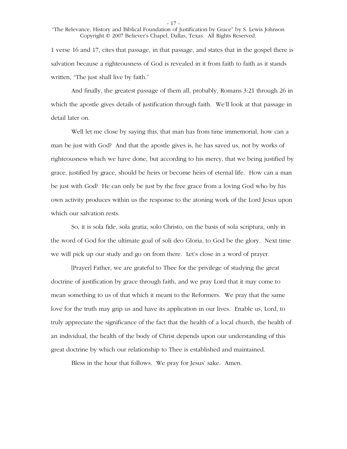- 17 -

"The Relevance, History and Biblical Foundation of Justification by Grace" by S. Lewis Johnson Copyright © 2007 Believer's Chapel, Dallas, Texas. All Rights Reserved.

1 verse 16 and 17, cites that passage, in that passage, and states that in the gospel there is salvation because a righteousness of God is revealed in it from faith to faith as it stands written, "The just shall live by faith."

 And finally, the greatest passage of them all, probably, Romans 3:21 through 26 in which the apostle gives details of justification through faith. We'll look at that passage in detail later on.

 Well let me close by saying this, that man has from time immemorial, how can a man be just with God? And that the apostle gives is, he has saved us, not by works of righteousness which we have done, but according to his mercy, that we being justified by grace, justified by grace, should be heirs or become heirs of eternal life. How can a man be just with God? He can only be just by the free grace from a loving God who by his own activity produces within us the response to the atoning work of the Lord Jesus upon which our salvation rests.

 So, it is sola fide, sola gratia, solo Christo, on the basis of sola scriptura, only in the word of God for the ultimate goal of soli deo Gloria, to God be the glory. Next time we will pick up our study and go on from there. Let's close in a word of prayer.

 [Prayer] Father, we are grateful to Thee for the privilege of studying the great doctrine of justification by grace through faith, and we pray Lord that it may come to mean something to us of that which it meant to the Reformers. We pray that the same love for the truth may grip us and have its application in our lives. Enable us, Lord, to truly appreciate the significance of the fact that the health of a local church, the health of an individual, the health of the body of Christ depends upon our understanding of this great doctrine by which our relationship to Thee is established and maintained.

Bless in the hour that follows. We pray for Jesus' sake. Amen.